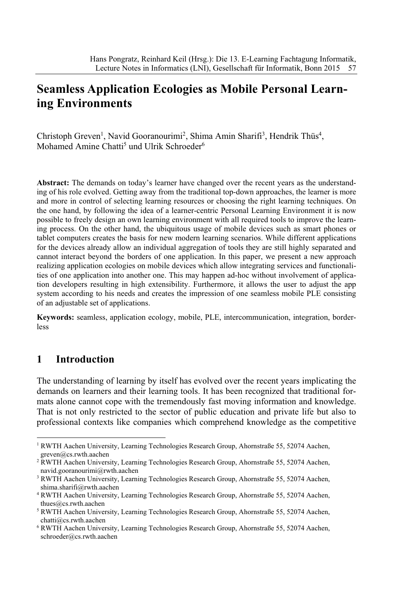# **Seamless Application Ecologies as Mobile Personal Learning Environments**

Christoph Greven<sup>1</sup>, Navid Gooranourimi<sup>2</sup>, Shima Amin Sharifi<sup>3</sup>, Hendrik Thüs<sup>4</sup>, Mohamed Amine Chatti<sup>5</sup> und Ulrik Schroeder<sup>6</sup>

Abstract: The demands on today's learner have changed over the recent years as the understanding of his role evolved. Getting away from the traditional top-down approaches, the learner is more and more in control of selecting learning resources or choosing the right learning techniques. On the one hand, by following the idea of a learner-centric Personal Learning Environment it is now possible to freely design an own learning environment with all required tools to improve the learning process. On the other hand, the ubiquitous usage of mobile devices such as smart phones or tablet computers creates the basis for new modern learning scenarios. While different applications for the devices already allow an individual aggregation of tools they are still highly separated and cannot interact beyond the borders of one application. In this paper, we present a new approach realizing application ecologies on mobile devices which allow integrating services and functionalities of one application into another one. This may happen ad-hoc without involvement of application developers resulting in high extensibility. Furthermore, it allows the user to adjust the app system according to his needs and creates the impression of one seamless mobile PLE consisting of an adjustable set of applications.

**Keywords:** seamless, application ecology, mobile, PLE, intercommunication, integration, borderless

## **1 Introduction**

The understanding of learning by itself has evolved over the recent years implicating the demands on learners and their learning tools. It has been recognized that traditional formats alone cannot cope with the tremendously fast moving information and knowledge. That is not only restricted to the sector of public education and private life but also to professional contexts like companies which comprehend knowledge as the competitive

<sup>1</sup> RWTH Aachen University, Learning Technologies Research Group, Ahornstraße 55, 52074 Aachen, greven@cs.rwth.aachen

<sup>&</sup>lt;sup>2</sup> RWTH Aachen University, Learning Technologies Research Group, Ahornstraße 55, 52074 Aachen, navid.gooranourimi@rwth.aachen

<sup>&</sup>lt;sup>3</sup> RWTH Aachen University, Learning Technologies Research Group, Ahornstraße 55, 52074 Aachen, shima.sharifi@rwth.aachen

<sup>4</sup> RWTH Aachen University, Learning Technologies Research Group, Ahornstraße 55, 52074 Aachen, thues@cs.rwth.aachen

<sup>5</sup> RWTH Aachen University, Learning Technologies Research Group, Ahornstraße 55, 52074 Aachen, chatti@cs.rwth.aachen

<sup>6</sup> RWTH Aachen University, Learning Technologies Research Group, Ahornstraße 55, 52074 Aachen, schroeder@cs.rwth.aachen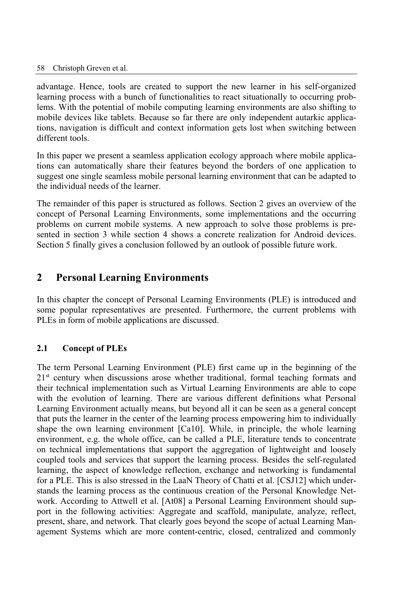advantage. Hence, tools are created to support the new learner in his self-organized learning process with a bunch of functionalities to react situationally to occurring problems. With the potential of mobile computing learning environments are also shifting to mobile devices like tablets. Because so far there are only independent autarkic applications, navigation is difficult and context information gets lost when switching between different tools.

In this paper we present a seamless application ecology approach where mobile applications can automatically share their features beyond the borders of one application to suggest one single seamless mobile personal learning environment that can be adapted to the individual needs of the learner.

The remainder of this paper is structured as follows. Section 2 gives an overview of the concept of Personal Learning Environments, some implementations and the occurring problems on current mobile systems. A new approach to solve those problems is presented in section 3 while section 4 shows a concrete realization for Android devices. Section 5 finally gives a conclusion followed by an outlook of possible future work.

## **2 Personal Learning Environments**

In this chapter the concept of Personal Learning Environments (PLE) is introduced and some popular representatives are presented. Furthermore, the current problems with PLEs in form of mobile applications are discussed.

### **2.1 Concept of PLEs**

The term Personal Learning Environment (PLE) first came up in the beginning of the 2<sup>1st</sup> century when discussions arose whether traditional, formal teaching formats and their technical implementation such as Virtual Learning Environments are able to cope with the evolution of learning. There are various different definitions what Personal Learning Environment actually means, but beyond all it can be seen as a general concept that puts the learner in the center of the learning process empowering him to individually shape the own learning environment [Ca10]. While, in principle, the whole learning environment, e.g. the whole office, can be called a PLE, literature tends to concentrate on technical implementations that support the aggregation of lightweight and loosely coupled tools and services that support the learning process. Besides the self-regulated learning, the aspect of knowledge reflection, exchange and networking is fundamental for a PLE. This is also stressed in the LaaN Theory of Chatti et al. [CSJ12] which understands the learning process as the continuous creation of the Personal Knowledge Network. According to Attwell et al. [At08] a Personal Learning Environment should support in the following activities: Aggregate and scaffold, manipulate, analyze, reflect, present, share, and network. That clearly goes beyond the scope of actual Learning Management Systems which are more content-centric, closed, centralized and commonly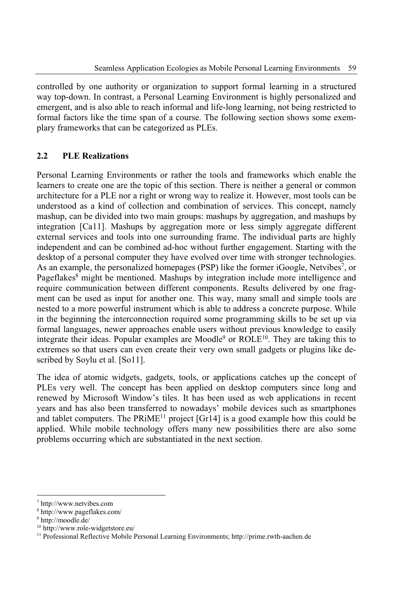controlled by one authority or organization to support formal learning in a structured way top-down. In contrast, a Personal Learning Environment is highly personalized and emergent, and is also able to reach informal and life-long learning, not being restricted to formal factors like the time span of a course. The following section shows some exemplary frameworks that can be categorized as PLEs.

### **2.2 PLE Realizations**

Personal Learning Environments or rather the tools and frameworks which enable the learners to create one are the topic of this section. There is neither a general or common architecture for a PLE nor a right or wrong way to realize it. However, most tools can be understood as a kind of collection and combination of services. This concept, namely mashup, can be divided into two main groups: mashups by aggregation, and mashups by integration [Ca11]. Mashups by aggregation more or less simply aggregate different external services and tools into one surrounding frame. The individual parts are highly independent and can be combined ad-hoc without further engagement. Starting with the desktop of a personal computer they have evolved over time with stronger technologies. As an example, the personalized homepages (PSP) like the former iGoogle, Netvibes<sup>7</sup>, or Pageflakes<sup>8</sup> might be mentioned. Mashups by integration include more intelligence and require communication between different components. Results delivered by one fragment can be used as input for another one. This way, many small and simple tools are nested to a more powerful instrument which is able to address a concrete purpose. While in the beginning the interconnection required some programming skills to be set up via formal languages, newer approaches enable users without previous knowledge to easily integrate their ideas. Popular examples are Moodle<sup>9</sup> or  $ROLE^{10}$ . They are taking this to extremes so that users can even create their very own small gadgets or plugins like described by Soylu et al. [So11].

The idea of atomic widgets, gadgets, tools, or applications catches up the concept of PLEs very well. The concept has been applied on desktop computers since long and renewed by Microsoft Window's tiles. It has been used as web applications in recent years and has also been transferred to nowadays' mobile devices such as smartphones and tablet computers. The  $PRiME<sup>11</sup>$  project [Gr14] is a good example how this could be applied. While mobile technology offers many new possibilities there are also some problems occurring which are substantiated in the next section.

<sup>7</sup> http://www.netvibes.com

<sup>8</sup> http://www.pageflakes.com/

<sup>9</sup> http://moodle.de/

<sup>10</sup> http://www.role-widgetstore.eu/

<sup>&</sup>lt;sup>11</sup> Professional Reflective Mobile Personal Learning Environments; http://prime.rwth-aachen.de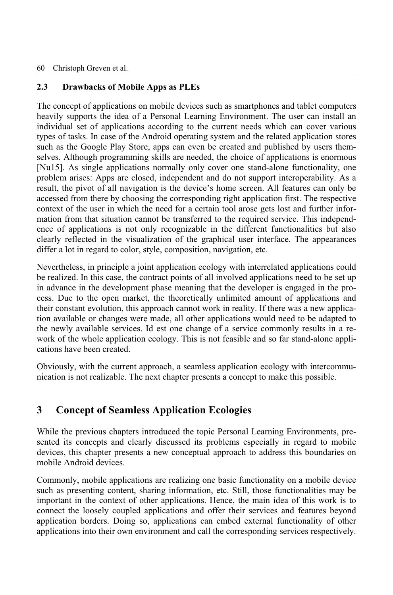### **2.3 Drawbacks of Mobile Apps as PLEs**

The concept of applications on mobile devices such as smartphones and tablet computers heavily supports the idea of a Personal Learning Environment. The user can install an individual set of applications according to the current needs which can cover various types of tasks. In case of the Android operating system and the related application stores such as the Google Play Store, apps can even be created and published by users themselves. Although programming skills are needed, the choice of applications is enormous [Nu15]. As single applications normally only cover one stand-alone functionality, one problem arises: Apps are closed, independent and do not support interoperability. As a result, the pivot of all navigation is the device's home screen. All features can only be accessed from there by choosing the corresponding right application first. The respective context of the user in which the need for a certain tool arose gets lost and further information from that situation cannot be transferred to the required service. This independence of applications is not only recognizable in the different functionalities but also clearly reflected in the visualization of the graphical user interface. The appearances differ a lot in regard to color, style, composition, navigation, etc.

Nevertheless, in principle a joint application ecology with interrelated applications could be realized. In this case, the contract points of all involved applications need to be set up in advance in the development phase meaning that the developer is engaged in the process. Due to the open market, the theoretically unlimited amount of applications and their constant evolution, this approach cannot work in reality. If there was a new application available or changes were made, all other applications would need to be adapted to the newly available services. Id est one change of a service commonly results in a rework of the whole application ecology. This is not feasible and so far stand-alone applications have been created.

Obviously, with the current approach, a seamless application ecology with intercommunication is not realizable. The next chapter presents a concept to make this possible.

# **3 Concept of Seamless Application Ecologies**

While the previous chapters introduced the topic Personal Learning Environments, presented its concepts and clearly discussed its problems especially in regard to mobile devices, this chapter presents a new conceptual approach to address this boundaries on mobile Android devices.

Commonly, mobile applications are realizing one basic functionality on a mobile device such as presenting content, sharing information, etc. Still, those functionalities may be important in the context of other applications. Hence, the main idea of this work is to connect the loosely coupled applications and offer their services and features beyond application borders. Doing so, applications can embed external functionality of other applications into their own environment and call the corresponding services respectively.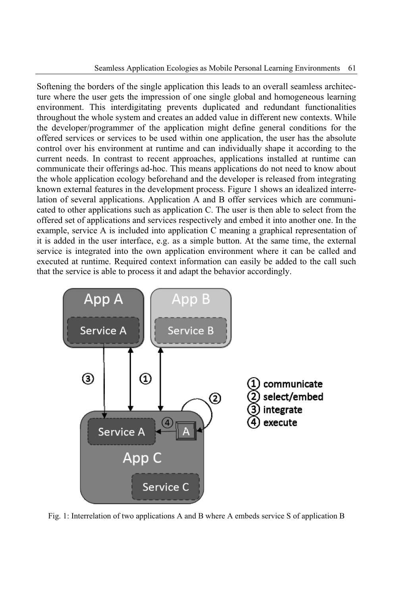Softening the borders of the single application this leads to an overall seamless architecture where the user gets the impression of one single global and homogeneous learning environment. This interdigitating prevents duplicated and redundant functionalities throughout the whole system and creates an added value in different new contexts. While the developer/programmer of the application might define general conditions for the offered services or services to be used within one application, the user has the absolute control over his environment at runtime and can individually shape it according to the current needs. In contrast to recent approaches, applications installed at runtime can communicate their offerings ad-hoc. This means applications do not need to know about the whole application ecology beforehand and the developer is released from integrating known external features in the development process. Figure 1 shows an idealized interrelation of several applications. Application A and B offer services which are communicated to other applications such as application C. The user is then able to select from the offered set of applications and services respectively and embed it into another one. In the example, service A is included into application C meaning a graphical representation of it is added in the user interface, e.g. as a simple button. At the same time, the external service is integrated into the own application environment where it can be called and executed at runtime. Required context information can easily be added to the call such that the service is able to process it and adapt the behavior accordingly.



Fig. 1: Interrelation of two applications A and B where A embeds service S of application B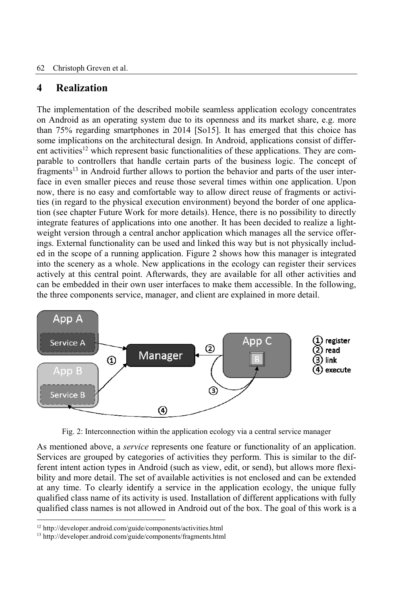#### 62 Christoph Greven et al.

## **4 Realization**

The implementation of the described mobile seamless application ecology concentrates on Android as an operating system due to its openness and its market share, e.g. more than 75% regarding smartphones in 2014 [So15]. It has emerged that this choice has some implications on the architectural design. In Android, applications consist of different activities<sup>12</sup> which represent basic functionalities of these applications. They are comparable to controllers that handle certain parts of the business logic. The concept of fragments<sup>13</sup> in Android further allows to portion the behavior and parts of the user interface in even smaller pieces and reuse those several times within one application. Upon now, there is no easy and comfortable way to allow direct reuse of fragments or activities (in regard to the physical execution environment) beyond the border of one application (see chapter Future Work for more details). Hence, there is no possibility to directly integrate features of applications into one another. It has been decided to realize a lightweight version through a central anchor application which manages all the service offerings. External functionality can be used and linked this way but is not physically included in the scope of a running application. Figure 2 shows how this manager is integrated into the scenery as a whole. New applications in the ecology can register their services actively at this central point. Afterwards, they are available for all other activities and can be embedded in their own user interfaces to make them accessible. In the following, the three components service, manager, and client are explained in more detail.



Fig. 2: Interconnection within the application ecology via a central service manager

As mentioned above, a *service* represents one feature or functionality of an application. Services are grouped by categories of activities they perform. This is similar to the different intent action types in Android (such as view, edit, or send), but allows more flexibility and more detail. The set of available activities is not enclosed and can be extended at any time. To clearly identify a service in the application ecology, the unique fully qualified class name of its activity is used. Installation of different applications with fully qualified class names is not allowed in Android out of the box. The goal of this work is a

<sup>12</sup> http://developer.android.com/guide/components/activities.html

<sup>13</sup> http://developer.android.com/guide/components/fragments.html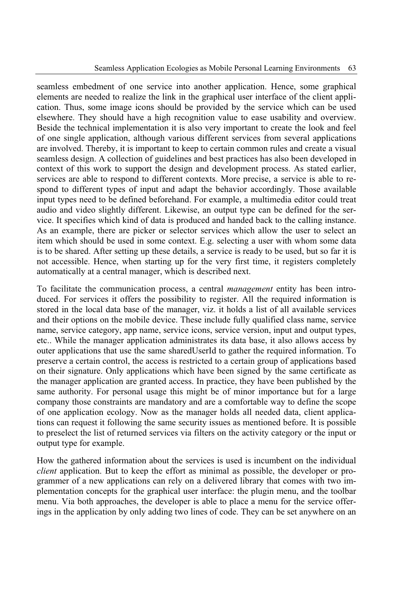seamless embedment of one service into another application. Hence, some graphical elements are needed to realize the link in the graphical user interface of the client application. Thus, some image icons should be provided by the service which can be used elsewhere. They should have a high recognition value to ease usability and overview. Beside the technical implementation it is also very important to create the look and feel of one single application, although various different services from several applications are involved. Thereby, it is important to keep to certain common rules and create a visual seamless design. A collection of guidelines and best practices has also been developed in context of this work to support the design and development process. As stated earlier, services are able to respond to different contexts. More precise, a service is able to respond to different types of input and adapt the behavior accordingly. Those available input types need to be defined beforehand. For example, a multimedia editor could treat audio and video slightly different. Likewise, an output type can be defined for the service. It specifies which kind of data is produced and handed back to the calling instance. As an example, there are picker or selector services which allow the user to select an item which should be used in some context. E.g. selecting a user with whom some data is to be shared. After setting up these details, a service is ready to be used, but so far it is not accessible. Hence, when starting up for the very first time, it registers completely automatically at a central manager, which is described next.

To facilitate the communication process, a central *management* entity has been introduced. For services it offers the possibility to register. All the required information is stored in the local data base of the manager, viz. it holds a list of all available services and their options on the mobile device. These include fully qualified class name, service name, service category, app name, service icons, service version, input and output types, etc.. While the manager application administrates its data base, it also allows access by outer applications that use the same sharedUserId to gather the required information. To preserve a certain control, the access is restricted to a certain group of applications based on their signature. Only applications which have been signed by the same certificate as the manager application are granted access. In practice, they have been published by the same authority. For personal usage this might be of minor importance but for a large company those constraints are mandatory and are a comfortable way to define the scope of one application ecology. Now as the manager holds all needed data, client applications can request it following the same security issues as mentioned before. It is possible to preselect the list of returned services via filters on the activity category or the input or output type for example.

How the gathered information about the services is used is incumbent on the individual *client* application. But to keep the effort as minimal as possible, the developer or programmer of a new applications can rely on a delivered library that comes with two implementation concepts for the graphical user interface: the plugin menu, and the toolbar menu. Via both approaches, the developer is able to place a menu for the service offerings in the application by only adding two lines of code. They can be set anywhere on an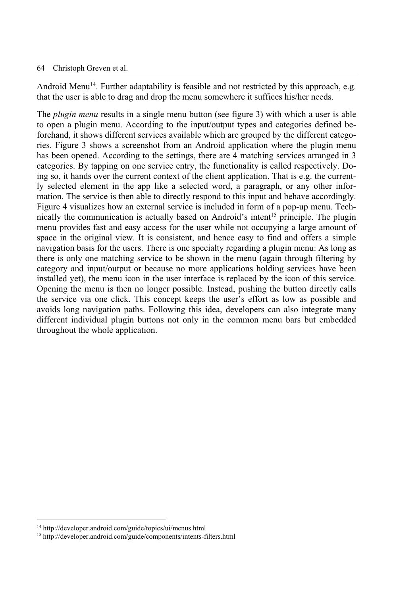#### 64 Christoph Greven et al.

Android Menu<sup>14</sup>. Further adaptability is feasible and not restricted by this approach, e.g. that the user is able to drag and drop the menu somewhere it suffices his/her needs.

The *plugin menu* results in a single menu button (see figure 3) with which a user is able to open a plugin menu. According to the input/output types and categories defined beforehand, it shows different services available which are grouped by the different categories. Figure 3 shows a screenshot from an Android application where the plugin menu has been opened. According to the settings, there are 4 matching services arranged in 3 categories. By tapping on one service entry, the functionality is called respectively. Doing so, it hands over the current context of the client application. That is e.g. the currently selected element in the app like a selected word, a paragraph, or any other information. The service is then able to directly respond to this input and behave accordingly. Figure 4 visualizes how an external service is included in form of a pop-up menu. Technically the communication is actually based on Android's intent<sup>15</sup> principle. The plugin menu provides fast and easy access for the user while not occupying a large amount of space in the original view. It is consistent, and hence easy to find and offers a simple navigation basis for the users. There is one specialty regarding a plugin menu: As long as there is only one matching service to be shown in the menu (again through filtering by category and input/output or because no more applications holding services have been installed yet), the menu icon in the user interface is replaced by the icon of this service. Opening the menu is then no longer possible. Instead, pushing the button directly calls the service via one click. This concept keeps the user's effort as low as possible and avoids long navigation paths. Following this idea, developers can also integrate many different individual plugin buttons not only in the common menu bars but embedded throughout the whole application.

<sup>14</sup> http://developer.android.com/guide/topics/ui/menus.html

<sup>15</sup> http://developer.android.com/guide/components/intents-filters.html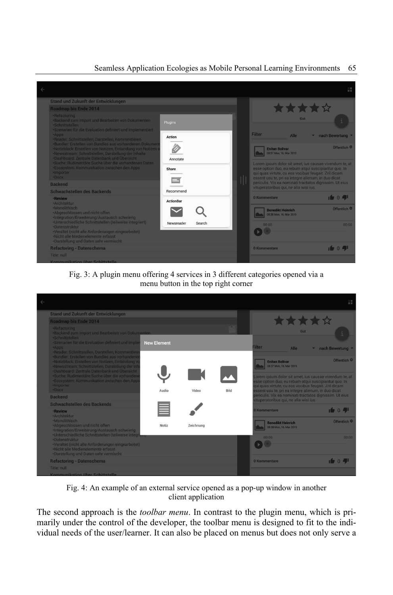#### Seamless Application Ecologies as Mobile Personal Learning Environments 65



#### Fig. 3: A plugin menu offering 4 services in 3 different categories opened via a menu button in the top right corner



Fig. 4: An example of an external service opened as a pop-up window in another client application

The second approach is the *toolbar menu*. In contrast to the plugin menu, which is primarily under the control of the developer, the toolbar menu is designed to fit to the individual needs of the user/learner. It can also be placed on menus but does not only serve a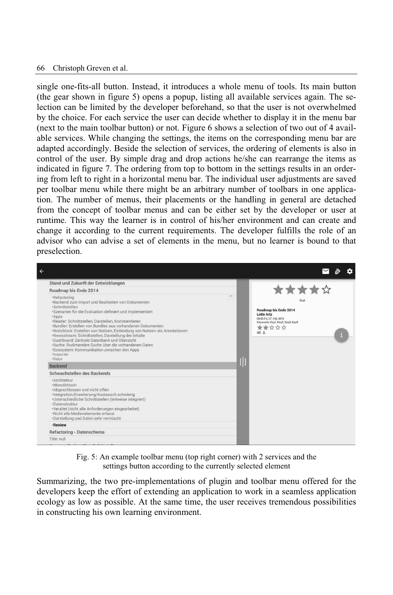#### 66 Christoph Greven et al.

single one-fits-all button. Instead, it introduces a whole menu of tools. Its main button (the gear shown in figure 5) opens a popup, listing all available services again. The selection can be limited by the developer beforehand, so that the user is not overwhelmed by the choice. For each service the user can decide whether to display it in the menu bar (next to the main toolbar button) or not. Figure 6 shows a selection of two out of 4 available services. While changing the settings, the items on the corresponding menu bar are adapted accordingly. Beside the selection of services, the ordering of elements is also in control of the user. By simple drag and drop actions he/she can rearrange the items as indicated in figure 7. The ordering from top to bottom in the settings results in an ordering from left to right in a horizontal menu bar. The individual user adjustments are saved per toolbar menu while there might be an arbitrary number of toolbars in one application. The number of menus, their placements or the handling in general are detached from the concept of toolbar menus and can be either set by the developer or user at runtime. This way the learner is in control of his/her environment and can create and change it according to the current requirements. The developer fulfills the role of an advisor who can advise a set of elements in the menu, but no learner is bound to that preselection.



Fig. 5: An example toolbar menu (top right corner) with 2 services and the settings button according to the currently selected element

Summarizing, the two pre-implementations of plugin and toolbar menu offered for the developers keep the effort of extending an application to work in a seamless application ecology as low as possible. At the same time, the user receives tremendous possibilities in constructing his own learning environment.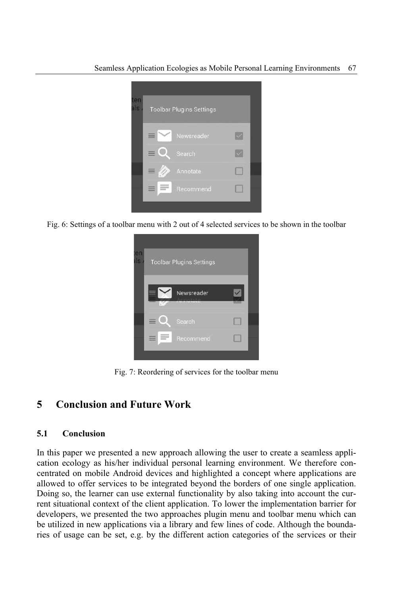

Fig. 6: Settings of a toolbar menu with 2 out of 4 selected services to be shown in the toolbar

| en<br>ls. | <b>Toolbar Plugins Settings</b> |            |  |
|-----------|---------------------------------|------------|--|
|           |                                 | Newsreader |  |
|           |                                 | Search     |  |
|           |                                 | Recommend  |  |

Fig. 7: Reordering of services for the toolbar menu

# **5 Conclusion and Future Work**

#### **5.1 Conclusion**

In this paper we presented a new approach allowing the user to create a seamless application ecology as his/her individual personal learning environment. We therefore concentrated on mobile Android devices and highlighted a concept where applications are allowed to offer services to be integrated beyond the borders of one single application. Doing so, the learner can use external functionality by also taking into account the current situational context of the client application. To lower the implementation barrier for developers, we presented the two approaches plugin menu and toolbar menu which can be utilized in new applications via a library and few lines of code. Although the boundaries of usage can be set, e.g. by the different action categories of the services or their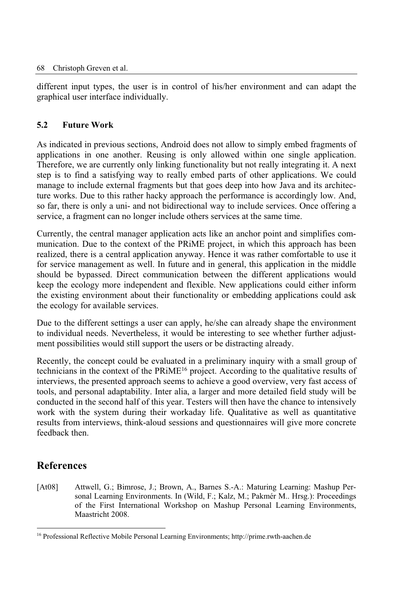different input types, the user is in control of his/her environment and can adapt the graphical user interface individually.

### **5.2 Future Work**

As indicated in previous sections, Android does not allow to simply embed fragments of applications in one another. Reusing is only allowed within one single application. Therefore, we are currently only linking functionality but not really integrating it. A next step is to find a satisfying way to really embed parts of other applications. We could manage to include external fragments but that goes deep into how Java and its architecture works. Due to this rather hacky approach the performance is accordingly low. And, so far, there is only a uni- and not bidirectional way to include services. Once offering a service, a fragment can no longer include others services at the same time.

Currently, the central manager application acts like an anchor point and simplifies communication. Due to the context of the PRiME project, in which this approach has been realized, there is a central application anyway. Hence it was rather comfortable to use it for service management as well. In future and in general, this application in the middle should be bypassed. Direct communication between the different applications would keep the ecology more independent and flexible. New applications could either inform the existing environment about their functionality or embedding applications could ask the ecology for available services.

Due to the different settings a user can apply, he/she can already shape the environment to individual needs. Nevertheless, it would be interesting to see whether further adjustment possibilities would still support the users or be distracting already.

Recently, the concept could be evaluated in a preliminary inquiry with a small group of technicians in the context of the PRiME<sup>16</sup> project. According to the qualitative results of interviews, the presented approach seems to achieve a good overview, very fast access of tools, and personal adaptability. Inter alia, a larger and more detailed field study will be conducted in the second half of this year. Testers will then have the chance to intensively work with the system during their workaday life. Qualitative as well as quantitative results from interviews, think-aloud sessions and questionnaires will give more concrete feedback then.

# **References**

[At08] Attwell, G.; Bimrose, J.; Brown, A., Barnes S.-A.: Maturing Learning: Mashup Personal Learning Environments. In (Wild, F.; Kalz, M.; Pakmér M.. Hrsg.): Proceedings of the First International Workshop on Mashup Personal Learning Environments, Maastricht 2008.

<sup>16</sup> Professional Reflective Mobile Personal Learning Environments; http://prime.rwth-aachen.de